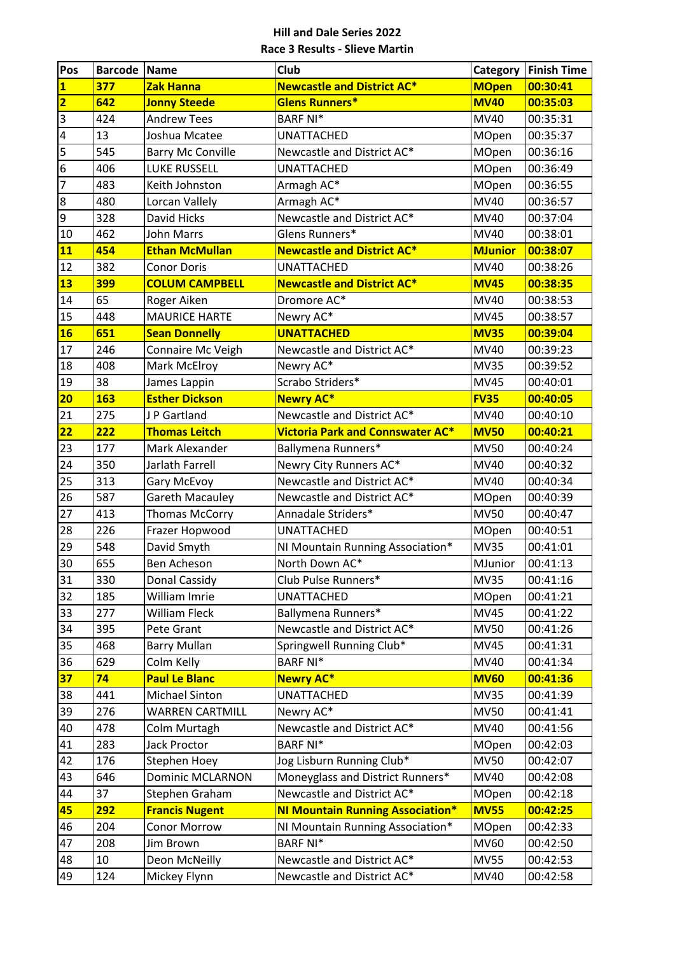| Pos                     | <b>Barcode Name</b> |                          | <b>Club</b>                             | Category       | <b>Finish Time</b> |
|-------------------------|---------------------|--------------------------|-----------------------------------------|----------------|--------------------|
| $\overline{\mathbf{1}}$ | 377                 | Zak Hanna                | <b>Newcastle and District AC*</b>       | <b>MOpen</b>   | 00:30:41           |
| $\overline{\mathbf{2}}$ | 642                 | <b>Jonny Steede</b>      | Glens Runners*                          | <b>MV40</b>    | 00:35:03           |
| $\overline{\mathbf{3}}$ | 424                 | <b>Andrew Tees</b>       | <b>BARF NI*</b>                         | <b>MV40</b>    | 00:35:31           |
| $\overline{4}$          | 13                  | Joshua Mcatee            | <b>UNATTACHED</b>                       | <b>MOpen</b>   | 00:35:37           |
| 5                       | 545                 | <b>Barry Mc Conville</b> | Newcastle and District AC*              | <b>MOpen</b>   | 00:36:16           |
| $\boldsymbol{6}$        | 406                 | LUKE RUSSELL             | UNATTACHED                              | <b>MOpen</b>   | 00:36:49           |
| $\overline{7}$          | 483                 | Keith Johnston           | Armagh AC*                              | <b>MOpen</b>   | 00:36:55           |
| $\bf 8$                 | 480                 | Lorcan Vallely           | Armagh AC*                              | <b>MV40</b>    | 00:36:57           |
| 9                       | 328                 | David Hicks              | Newcastle and District AC*              | MV40           | 00:37:04           |
| 10                      | 462                 | John Marrs               | Glens Runners*                          | <b>MV40</b>    | 00:38:01           |
| 11                      | 454                 | <b>Ethan McMullan</b>    | <b>Newcastle and District AC*</b>       | <b>MJunior</b> | 00:38:07           |
| 12                      | 382                 | <b>Conor Doris</b>       | <b>UNATTACHED</b>                       | <b>MV40</b>    | 00:38:26           |
| 13                      | 399                 | <b>COLUM CAMPBELL</b>    | <b>Newcastle and District AC*</b>       | <b>MV45</b>    | 00:38:35           |
| 14                      | 65                  | Roger Aiken              | Dromore AC*                             | MV40           | 00:38:53           |
| 15                      | 448                 | <b>MAURICE HARTE</b>     | Newry AC*                               | <b>MV45</b>    | 00:38:57           |
| <b>16</b>               | 651                 | <b>Sean Donnelly</b>     | <b>UNATTACHED</b>                       | <b>MV35</b>    | 00:39:04           |
| 17                      | 246                 | Connaire Mc Veigh        | Newcastle and District AC*              | MV40           | 00:39:23           |
| 18                      | 408                 | Mark McElroy             | Newry AC*                               | <b>MV35</b>    | 00:39:52           |
| 19                      | 38                  | James Lappin             | Scrabo Striders*                        | <b>MV45</b>    | 00:40:01           |
| 20                      | <b>163</b>          | <b>Esther Dickson</b>    | <b>Newry AC*</b>                        | <b>FV35</b>    | 00:40:05           |
| 21                      | 275                 | JP Gartland              | Newcastle and District AC*              | MV40           | 00:40:10           |
| $\overline{22}$         | 222                 | <b>Thomas Leitch</b>     | <b>Victoria Park and Connswater AC*</b> | <b>MV50</b>    | 00:40:21           |
| 23                      | 177                 | Mark Alexander           | Ballymena Runners*                      | <b>MV50</b>    | 00:40:24           |
| 24                      | 350                 | Jarlath Farrell          | Newry City Runners AC*                  | MV40           | 00:40:32           |
| 25                      | 313                 | Gary McEvoy              | Newcastle and District AC*              | MV40           | 00:40:34           |
| 26                      | 587                 | <b>Gareth Macauley</b>   | Newcastle and District AC*              | <b>MOpen</b>   | 00:40:39           |
| 27                      | 413                 | <b>Thomas McCorry</b>    | Annadale Striders*                      | <b>MV50</b>    | 00:40:47           |
| 28                      | 226                 | Frazer Hopwood           | <b>UNATTACHED</b>                       | <b>MOpen</b>   | 00:40:51           |
| 29                      | 548                 | David Smyth              | NI Mountain Running Association*        | <b>MV35</b>    | 00:41:01           |
| 30                      | 655                 | Ben Acheson              | North Down AC*                          | MJunior        | 00:41:13           |
| $31$                    | 330                 | Donal Cassidy            | Club Pulse Runners*                     | <b>MV35</b>    | 00:41:16           |
| 32                      | 185                 | William Imrie            | <b>UNATTACHED</b>                       | <b>MOpen</b>   | 00:41:21           |
| 33                      | 277                 | William Fleck            | Ballymena Runners*                      | <b>MV45</b>    | 00:41:22           |
| 34                      | 395                 | Pete Grant               | Newcastle and District AC*              | <b>MV50</b>    | 00:41:26           |
| 35                      | 468                 | <b>Barry Mullan</b>      | Springwell Running Club*                | <b>MV45</b>    | 00:41:31           |
| 36                      | 629                 | Colm Kelly               | <b>BARF NI*</b>                         | <b>MV40</b>    | 00:41:34           |
| 37                      | 74                  | <b>Paul Le Blanc</b>     | <b>Newry AC*</b>                        | <b>MV60</b>    | 00:41:36           |
| 38                      | 441                 | Michael Sinton           | <b>UNATTACHED</b>                       | <b>MV35</b>    | 00:41:39           |
| 39                      | 276                 | <b>WARREN CARTMILL</b>   | Newry AC*                               | <b>MV50</b>    | 00:41:41           |
| 40                      | 478                 | Colm Murtagh             | Newcastle and District AC*              | MV40           | 00:41:56           |
| 41                      | 283                 | Jack Proctor             | <b>BARF NI*</b>                         | <b>MOpen</b>   | 00:42:03           |
| 42                      | 176                 | Stephen Hoey             | Jog Lisburn Running Club*               | <b>MV50</b>    | 00:42:07           |
| 43                      | 646                 | <b>Dominic MCLARNON</b>  | Moneyglass and District Runners*        | MV40           | 00:42:08           |
| 44                      | 37                  | Stephen Graham           | Newcastle and District AC*              | <b>MOpen</b>   | 00:42:18           |
| 45                      | 292                 | <b>Francis Nugent</b>    | <b>NI Mountain Running Association*</b> | <b>MV55</b>    | 00:42:25           |
| 46                      | 204                 | <b>Conor Morrow</b>      | NI Mountain Running Association*        | <b>MOpen</b>   | 00:42:33           |
| 47                      | 208                 | Jim Brown                | <b>BARF NI*</b>                         | <b>MV60</b>    | 00:42:50           |
| 48                      | 10                  | Deon McNeilly            | Newcastle and District AC*              | <b>MV55</b>    | 00:42:53           |
| 49                      | 124                 | Mickey Flynn             | Newcastle and District AC*              | <b>MV40</b>    | 00:42:58           |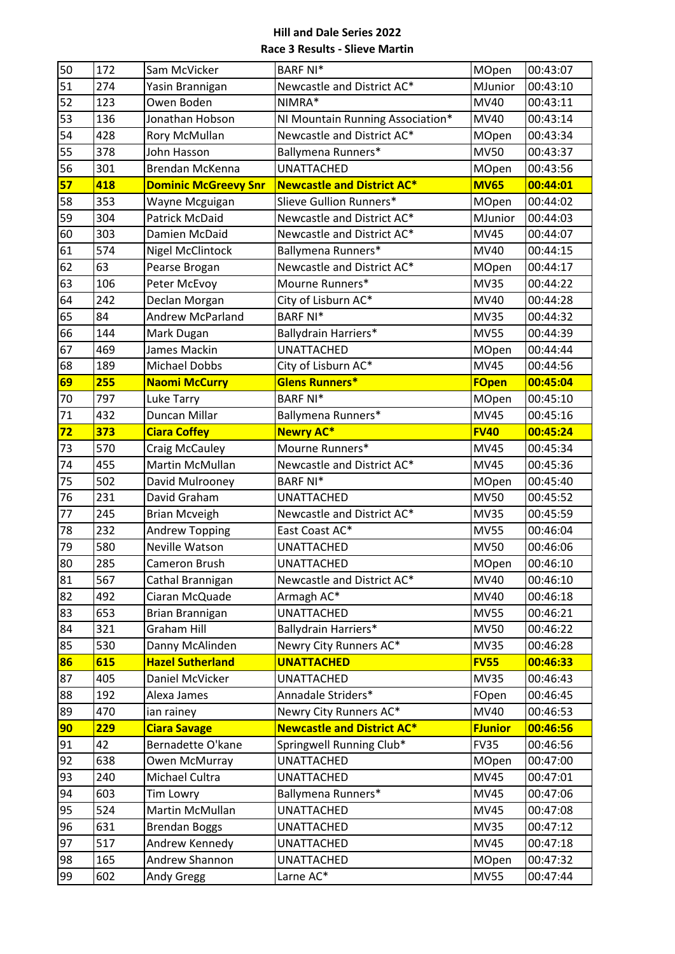| 50 | 172 | Sam McVicker                | <b>BARF NI*</b>                   | MOpen          | 00:43:07 |
|----|-----|-----------------------------|-----------------------------------|----------------|----------|
| 51 | 274 | Yasin Brannigan             | Newcastle and District AC*        | MJunior        | 00:43:10 |
| 52 | 123 | Owen Boden                  | NIMRA*                            | MV40           | 00:43:11 |
| 53 | 136 | Jonathan Hobson             | NI Mountain Running Association*  | MV40           | 00:43:14 |
| 54 | 428 | Rory McMullan               | Newcastle and District AC*        | <b>MOpen</b>   | 00:43:34 |
| 55 | 378 | John Hasson                 | Ballymena Runners*                | <b>MV50</b>    | 00:43:37 |
| 56 | 301 | <b>Brendan McKenna</b>      | <b>UNATTACHED</b>                 | <b>MOpen</b>   | 00:43:56 |
| 57 | 418 | <b>Dominic McGreevy Snr</b> | <b>Newcastle and District AC*</b> | <b>MV65</b>    | 00:44:01 |
| 58 | 353 | Wayne Mcguigan              | Slieve Gullion Runners*           | MOpen          | 00:44:02 |
| 59 | 304 | <b>Patrick McDaid</b>       | Newcastle and District AC*        | MJunior        | 00:44:03 |
| 60 | 303 | Damien McDaid               | Newcastle and District AC*        | <b>MV45</b>    | 00:44:07 |
| 61 | 574 | Nigel McClintock            | Ballymena Runners*                | MV40           | 00:44:15 |
| 62 | 63  | Pearse Brogan               | Newcastle and District AC*        | <b>MOpen</b>   | 00:44:17 |
| 63 | 106 | Peter McEvoy                | Mourne Runners*                   | <b>MV35</b>    | 00:44:22 |
| 64 | 242 | Declan Morgan               | City of Lisburn AC*               | MV40           | 00:44:28 |
| 65 | 84  | <b>Andrew McParland</b>     | <b>BARF NI*</b>                   | <b>MV35</b>    | 00:44:32 |
| 66 | 144 | Mark Dugan                  | Ballydrain Harriers*              | <b>MV55</b>    | 00:44:39 |
| 67 | 469 | James Mackin                | <b>UNATTACHED</b>                 | MOpen          | 00:44:44 |
| 68 | 189 | <b>Michael Dobbs</b>        | City of Lisburn AC*               | <b>MV45</b>    | 00:44:56 |
| 69 | 255 | <b>Naomi McCurry</b>        | Glens Runners*                    | <b>FOpen</b>   | 00:45:04 |
| 70 | 797 | Luke Tarry                  | <b>BARF NI*</b>                   | MOpen          | 00:45:10 |
| 71 | 432 | Duncan Millar               | Ballymena Runners*                | <b>MV45</b>    | 00:45:16 |
| 72 | 373 | <b>Ciara Coffey</b>         | <b>Newry AC*</b>                  | <b>FV40</b>    | 00:45:24 |
| 73 | 570 | Craig McCauley              | Mourne Runners*                   | <b>MV45</b>    | 00:45:34 |
| 74 | 455 | Martin McMullan             | Newcastle and District AC*        | <b>MV45</b>    | 00:45:36 |
| 75 | 502 | David Mulrooney             | <b>BARF NI*</b>                   | <b>MOpen</b>   | 00:45:40 |
| 76 | 231 | David Graham                | <b>UNATTACHED</b>                 | <b>MV50</b>    | 00:45:52 |
| 77 | 245 | <b>Brian Mcveigh</b>        | Newcastle and District AC*        | <b>MV35</b>    | 00:45:59 |
| 78 | 232 | <b>Andrew Topping</b>       | East Coast AC*                    | <b>MV55</b>    | 00:46:04 |
| 79 | 580 | <b>Neville Watson</b>       | <b>UNATTACHED</b>                 | <b>MV50</b>    | 00:46:06 |
| 80 | 285 | Cameron Brush               | <b>UNATTACHED</b>                 | <b>MOpen</b>   | 00:46:10 |
| 81 | 567 | Cathal Brannigan            | Newcastle and District AC*        | <b>MV40</b>    | 00:46:10 |
| 82 | 492 | Ciaran McQuade              | Armagh AC*                        | <b>MV40</b>    | 00:46:18 |
| 83 | 653 | Brian Brannigan             | <b>UNATTACHED</b>                 | <b>MV55</b>    | 00:46:21 |
| 84 | 321 | <b>Graham Hill</b>          | Ballydrain Harriers*              | <b>MV50</b>    | 00:46:22 |
| 85 | 530 | Danny McAlinden             | Newry City Runners AC*            | <b>MV35</b>    | 00:46:28 |
| 86 | 615 | <b>Hazel Sutherland</b>     | <b>UNATTACHED</b>                 | <b>FV55</b>    | 00:46:33 |
| 87 | 405 | Daniel McVicker             | <b>UNATTACHED</b>                 | <b>MV35</b>    | 00:46:43 |
| 88 | 192 | Alexa James                 | Annadale Striders*                | FOpen          | 00:46:45 |
| 89 | 470 | ian rainey                  | Newry City Runners AC*            | <b>MV40</b>    | 00:46:53 |
| 90 | 229 | <b>Ciara Savage</b>         | <b>Newcastle and District AC*</b> | <b>FJunior</b> | 00:46:56 |
| 91 | 42  | Bernadette O'kane           | Springwell Running Club*          | <b>FV35</b>    | 00:46:56 |
| 92 | 638 | Owen McMurray               | UNATTACHED                        | <b>MOpen</b>   | 00:47:00 |
| 93 | 240 | Michael Cultra              | <b>UNATTACHED</b>                 | <b>MV45</b>    | 00:47:01 |
| 94 | 603 | <b>Tim Lowry</b>            | Ballymena Runners*                | <b>MV45</b>    | 00:47:06 |
| 95 | 524 | Martin McMullan             | <b>UNATTACHED</b>                 | <b>MV45</b>    | 00:47:08 |
| 96 | 631 | <b>Brendan Boggs</b>        | <b>UNATTACHED</b>                 | <b>MV35</b>    | 00:47:12 |
| 97 | 517 | Andrew Kennedy              | UNATTACHED                        | <b>MV45</b>    | 00:47:18 |
| 98 | 165 | Andrew Shannon              | <b>UNATTACHED</b>                 | <b>MOpen</b>   | 00:47:32 |
| 99 | 602 | Andy Gregg                  | Larne AC*                         | <b>MV55</b>    | 00:47:44 |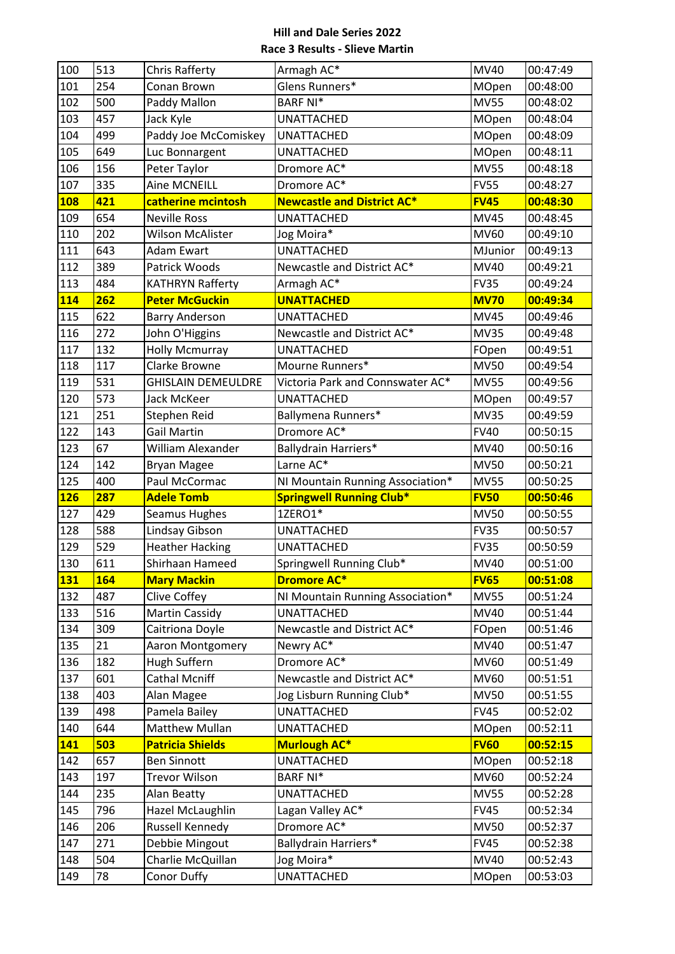| 100        | 513       | Chris Rafferty                          | Armagh AC*                        | MV40          | 00:47:49             |
|------------|-----------|-----------------------------------------|-----------------------------------|---------------|----------------------|
| 101        | 254       | Conan Brown                             | Glens Runners*                    | MOpen         | 00:48:00             |
| 102        | 500       | Paddy Mallon                            | <b>BARF NI*</b>                   | <b>MV55</b>   | 00:48:02             |
| 103        | 457       | Jack Kyle                               | <b>UNATTACHED</b>                 | MOpen         | 00:48:04             |
| 104        | 499       | Paddy Joe McComiskey                    | <b>UNATTACHED</b>                 | MOpen         | 00:48:09             |
| 105        | 649       | Luc Bonnargent                          | <b>UNATTACHED</b>                 | MOpen         | 00:48:11             |
| 106        | 156       | Peter Taylor                            | Dromore AC*                       | <b>MV55</b>   | 00:48:18             |
| 107        | 335       | Aine MCNEILL                            | Dromore AC*                       | <b>FV55</b>   | 00:48:27             |
| <b>108</b> | 421       | catherine mcintosh                      | <b>Newcastle and District AC*</b> | <b>FV45</b>   | 00:48:30             |
| 109        | 654       | <b>Neville Ross</b>                     | <b>UNATTACHED</b>                 | <b>MV45</b>   | 00:48:45             |
| 110        | 202       | Wilson McAlister                        | Jog Moira*                        | MV60          | 00:49:10             |
| 111        | 643       | Adam Ewart                              | <b>UNATTACHED</b>                 | MJunior       | 00:49:13             |
| 112        | 389       | Patrick Woods                           | Newcastle and District AC*        | MV40          | 00:49:21             |
| 113        | 484       | <b>KATHRYN Rafferty</b>                 | Armagh AC*                        | <b>FV35</b>   | 00:49:24             |
| 114        | 262       | <b>Peter McGuckin</b>                   | <b>UNATTACHED</b>                 | <b>MV70</b>   | 00:49:34             |
| 115        | 622       | <b>Barry Anderson</b>                   | <b>UNATTACHED</b>                 | <b>MV45</b>   | 00:49:46             |
| 116        | 272       | John O'Higgins                          | Newcastle and District AC*        | <b>MV35</b>   | 00:49:48             |
| 117        | 132       | <b>Holly Mcmurray</b>                   | <b>UNATTACHED</b>                 | FOpen         | 00:49:51             |
| 118        | 117       | Clarke Browne                           | Mourne Runners*                   | <b>MV50</b>   | 00:49:54             |
| 119        | 531       | <b>GHISLAIN DEMEULDRE</b>               | Victoria Park and Connswater AC*  | <b>MV55</b>   | 00:49:56             |
| 120        | 573       | Jack McKeer                             | <b>UNATTACHED</b>                 | MOpen         | 00:49:57             |
| 121        | 251       | Stephen Reid                            | Ballymena Runners*                | <b>MV35</b>   | 00:49:59             |
| 122        | 143       | Gail Martin                             | Dromore AC*                       | <b>FV40</b>   | 00:50:15             |
| 123        | 67        | William Alexander                       | Ballydrain Harriers*              | MV40          | 00:50:16             |
| 124        | 142       | <b>Bryan Magee</b>                      | Larne AC*                         | <b>MV50</b>   | 00:50:21             |
|            |           |                                         |                                   |               |                      |
| 125        | 400       | Paul McCormac                           | NI Mountain Running Association*  | <b>MV55</b>   | 00:50:25             |
| <b>126</b> | 287       | <b>Adele Tomb</b>                       | <b>Springwell Running Club*</b>   | <b>FV50</b>   | 00:50:46             |
| 127        | 429       | Seamus Hughes                           | 1ZERO1*                           | <b>MV50</b>   | 00:50:55             |
| 128        | 588       | Lindsay Gibson                          | <b>UNATTACHED</b>                 | <b>FV35</b>   | 00:50:57             |
| 129        | 529       | <b>Heather Hacking</b>                  | <b>UNATTACHED</b>                 | <b>FV35</b>   | 00:50:59             |
| 130        | 611       | Shirhaan Hameed                         | Springwell Running Club*          | MV40          | 00:51:00             |
| <b>131</b> | 164       | <b>Mary Mackin</b>                      | <b>Dromore AC*</b>                | <b>FV65</b>   | 00:51:08             |
| 132        | 487       | Clive Coffey                            | NI Mountain Running Association*  | <b>MV55</b>   | 00:51:24             |
| 133        | 516       | <b>Martin Cassidy</b>                   | <b>UNATTACHED</b>                 | MV40          | 00:51:44             |
| 134        | 309       | Caitriona Doyle                         | Newcastle and District AC*        | FOpen         | 00:51:46             |
| 135        | 21        | Aaron Montgomery                        | Newry AC*                         | <b>MV40</b>   | 00:51:47             |
| 136        | 182       | Hugh Suffern                            | Dromore AC*                       | MV60          | 00:51:49             |
| 137        | 601       | Cathal Mcniff                           | Newcastle and District AC*        | <b>MV60</b>   | 00:51:51             |
| 138        | 403       | Alan Magee                              | Jog Lisburn Running Club*         | <b>MV50</b>   | 00:51:55             |
| 139        | 498       | Pamela Bailey                           | <b>UNATTACHED</b>                 | <b>FV45</b>   | 00:52:02             |
| 140        | 644       | Matthew Mullan                          | <b>UNATTACHED</b>                 | MOpen         | 00:52:11             |
| 141        | 503       | <b>Patricia Shields</b>                 | <b>Murlough AC*</b>               | <b>FV60</b>   | 00:52:15             |
| 142        | 657       | <b>Ben Sinnott</b>                      | <b>UNATTACHED</b>                 | MOpen         | 00:52:18             |
| 143        | 197       | Trevor Wilson                           | <b>BARF NI*</b>                   | <b>MV60</b>   | 00:52:24             |
| 144        | 235       | Alan Beatty                             | <b>UNATTACHED</b>                 | <b>MV55</b>   | 00:52:28             |
| 145        | 796       | Hazel McLaughlin                        | Lagan Valley AC*                  | <b>FV45</b>   | 00:52:34             |
| 146        | 206       | Russell Kennedy                         | Dromore AC*                       | <b>MV50</b>   | 00:52:37             |
| 147        | 271       | Debbie Mingout                          | Ballydrain Harriers*              | <b>FV45</b>   | 00:52:38             |
| 148<br>149 | 504<br>78 | Charlie McQuillan<br><b>Conor Duffy</b> | Jog Moira*<br><b>UNATTACHED</b>   | MV40<br>MOpen | 00:52:43<br>00:53:03 |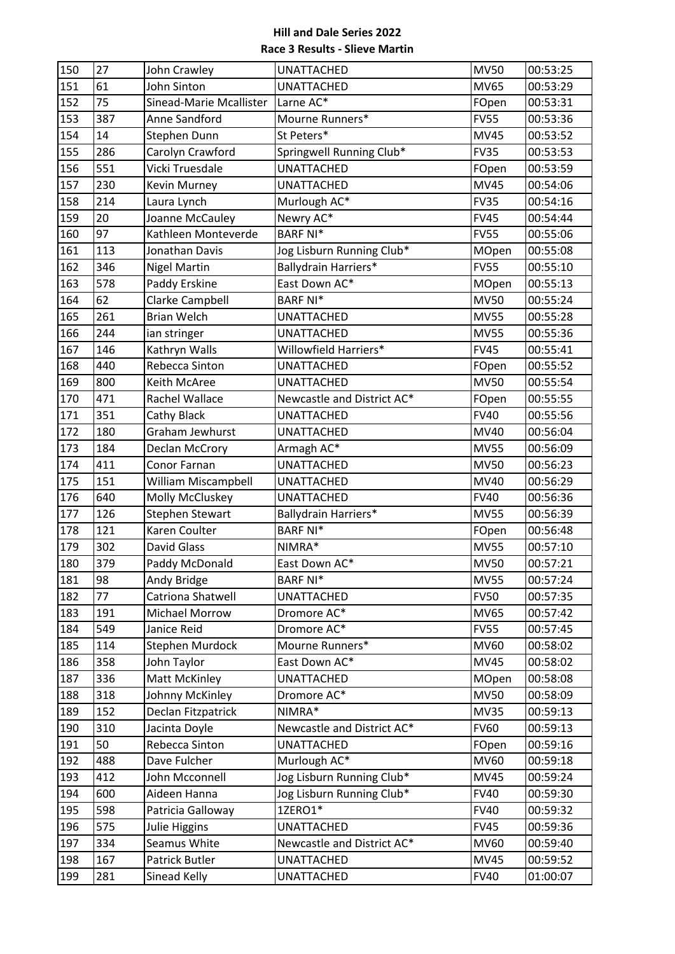| 150 | 27  | John Crawley            | <b>UNATTACHED</b>          | <b>MV50</b>  | 00:53:25 |
|-----|-----|-------------------------|----------------------------|--------------|----------|
| 151 | 61  | John Sinton             | <b>UNATTACHED</b>          | <b>MV65</b>  | 00:53:29 |
| 152 | 75  | Sinead-Marie Mcallister | Larne AC*                  | FOpen        | 00:53:31 |
| 153 | 387 | Anne Sandford           | Mourne Runners*            | <b>FV55</b>  | 00:53:36 |
| 154 | 14  | Stephen Dunn            | St Peters*                 | <b>MV45</b>  | 00:53:52 |
| 155 | 286 | Carolyn Crawford        | Springwell Running Club*   | <b>FV35</b>  | 00:53:53 |
| 156 | 551 | Vicki Truesdale         | <b>UNATTACHED</b>          | FOpen        | 00:53:59 |
| 157 | 230 | <b>Kevin Murney</b>     | <b>UNATTACHED</b>          | <b>MV45</b>  | 00:54:06 |
| 158 | 214 | Laura Lynch             | Murlough AC*               | <b>FV35</b>  | 00:54:16 |
| 159 | 20  | Joanne McCauley         | Newry AC*                  | <b>FV45</b>  | 00:54:44 |
| 160 | 97  | Kathleen Monteverde     | <b>BARF NI*</b>            | <b>FV55</b>  | 00:55:06 |
| 161 | 113 | Jonathan Davis          | Jog Lisburn Running Club*  | <b>MOpen</b> | 00:55:08 |
| 162 | 346 | <b>Nigel Martin</b>     | Ballydrain Harriers*       | <b>FV55</b>  | 00:55:10 |
| 163 | 578 | Paddy Erskine           | East Down AC*              | MOpen        | 00:55:13 |
| 164 | 62  | Clarke Campbell         | <b>BARF NI*</b>            | <b>MV50</b>  | 00:55:24 |
| 165 | 261 | <b>Brian Welch</b>      | <b>UNATTACHED</b>          | <b>MV55</b>  | 00:55:28 |
| 166 | 244 | ian stringer            | <b>UNATTACHED</b>          | <b>MV55</b>  | 00:55:36 |
| 167 | 146 | Kathryn Walls           | Willowfield Harriers*      | <b>FV45</b>  | 00:55:41 |
| 168 | 440 | Rebecca Sinton          | <b>UNATTACHED</b>          | FOpen        | 00:55:52 |
| 169 | 800 | Keith McAree            | <b>UNATTACHED</b>          | <b>MV50</b>  | 00:55:54 |
| 170 | 471 | Rachel Wallace          | Newcastle and District AC* | FOpen        | 00:55:55 |
| 171 | 351 | Cathy Black             | <b>UNATTACHED</b>          | <b>FV40</b>  | 00:55:56 |
| 172 | 180 | Graham Jewhurst         | <b>UNATTACHED</b>          | MV40         | 00:56:04 |
| 173 | 184 | <b>Declan McCrory</b>   | Armagh AC*                 | <b>MV55</b>  | 00:56:09 |
| 174 | 411 | Conor Farnan            | <b>UNATTACHED</b>          | <b>MV50</b>  | 00:56:23 |
| 175 | 151 | William Miscampbell     | <b>UNATTACHED</b>          | MV40         | 00:56:29 |
| 176 | 640 | Molly McCluskey         | <b>UNATTACHED</b>          | <b>FV40</b>  | 00:56:36 |
| 177 | 126 | <b>Stephen Stewart</b>  | Ballydrain Harriers*       | <b>MV55</b>  | 00:56:39 |
| 178 | 121 | Karen Coulter           | <b>BARF NI*</b>            | FOpen        | 00:56:48 |
| 179 | 302 | David Glass             | NIMRA*                     | <b>MV55</b>  | 00:57:10 |
| 180 | 379 | Paddy McDonald          | East Down AC*              | <b>MV50</b>  | 00:57:21 |
| 181 | 98  | Andy Bridge             | <b>BARF NI*</b>            | <b>MV55</b>  | 00:57:24 |
| 182 | 77  | Catriona Shatwell       | <b>UNATTACHED</b>          | <b>FV50</b>  | 00:57:35 |
| 183 | 191 | Michael Morrow          | Dromore AC*                | <b>MV65</b>  | 00:57:42 |
| 184 | 549 | Janice Reid             | Dromore AC*                | <b>FV55</b>  | 00:57:45 |
| 185 | 114 | Stephen Murdock         | Mourne Runners*            | <b>MV60</b>  | 00:58:02 |
| 186 | 358 | John Taylor             | East Down AC*              | <b>MV45</b>  | 00:58:02 |
| 187 | 336 | <b>Matt McKinley</b>    | <b>UNATTACHED</b>          | MOpen        | 00:58:08 |
| 188 | 318 | Johnny McKinley         | Dromore AC*                | <b>MV50</b>  | 00:58:09 |
| 189 | 152 | Declan Fitzpatrick      | NIMRA*                     | <b>MV35</b>  | 00:59:13 |
| 190 | 310 | Jacinta Doyle           | Newcastle and District AC* | <b>FV60</b>  | 00:59:13 |
| 191 | 50  | Rebecca Sinton          | <b>UNATTACHED</b>          | FOpen        | 00:59:16 |
| 192 | 488 | Dave Fulcher            | Murlough AC*               | <b>MV60</b>  | 00:59:18 |
| 193 | 412 | John Mcconnell          | Jog Lisburn Running Club*  | <b>MV45</b>  | 00:59:24 |
| 194 | 600 | Aideen Hanna            | Jog Lisburn Running Club*  | <b>FV40</b>  | 00:59:30 |
| 195 | 598 | Patricia Galloway       | 1ZERO1*                    | <b>FV40</b>  | 00:59:32 |
| 196 | 575 | Julie Higgins           | <b>UNATTACHED</b>          | <b>FV45</b>  | 00:59:36 |
| 197 | 334 | Seamus White            | Newcastle and District AC* | <b>MV60</b>  | 00:59:40 |
| 198 | 167 | Patrick Butler          | <b>UNATTACHED</b>          | <b>MV45</b>  | 00:59:52 |
| 199 | 281 | Sinead Kelly            | <b>UNATTACHED</b>          | <b>FV40</b>  | 01:00:07 |